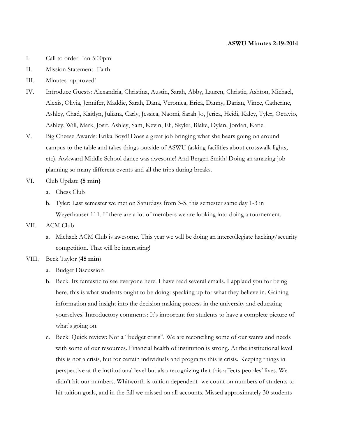#### **ASWU Minutes 2-19-2014**

- I. Call to order- Ian 5:00pm
- II. Mission Statement- Faith
- III. Minutes- approved!
- IV. Introduce Guests: Alexandria, Christina, Austin, Sarah, Abby, Lauren, Christie, Ashton, Michael, Alexis, Olivia, Jennifer, Maddie, Sarah, Dana, Veronica, Erica, Danny, Darian, Vince, Catherine, Ashley, Chad, Kaitlyn, Juliana, Carly, Jessica, Naomi, Sarah Jo, Jerica, Heidi, Kaley, Tyler, Octavio, Ashley, Will, Mark, Josif, Ashley, Sam, Kevin, Eli, Skyler, Blake, Dylan, Jordan, Katie.
- V. Big Cheese Awards: Erika Boyd! Does a great job bringing what she hears going on around campus to the table and takes things outside of ASWU (asking facilities about crosswalk lights, etc). Awkward Middle School dance was awesome! And Bergen Smith! Doing an amazing job planning so many different events and all the trips during breaks.
- VI. Club Update **(5 min)**
	- a. Chess Club
	- b. Tyler: Last semester we met on Saturdays from 3-5, this semester same day 1-3 in Weyerhauser 111. If there are a lot of members we are looking into doing a tournement.
- VII. ACM Club
	- a. Michael: ACM Club is awesome. This year we will be doing an intercollegiate hacking/security competition. That will be interesting!
- VIII. Beck Taylor (**45 min**)
	- a. Budget Discussion
	- b. Beck: Its fantastic to see everyone here. I have read several emails. I applaud you for being here, this is what students ought to be doing: speaking up for what they believe in. Gaining information and insight into the decision making process in the university and educating yourselves! Introductory comments: It's important for students to have a complete picture of what's going on.
	- c. Beck: Quick review: Not a "budget crisis". We are reconciling some of our wants and needs with some of our resources. Financial health of institution is strong. At the institutional level this is not a crisis, but for certain individuals and programs this is crisis. Keeping things in perspective at the institutional level but also recognizing that this affects peoples' lives. We didn't hit our numbers. Whitworth is tuition dependent- we count on numbers of students to hit tuition goals, and in the fall we missed on all accounts. Missed approximately 30 students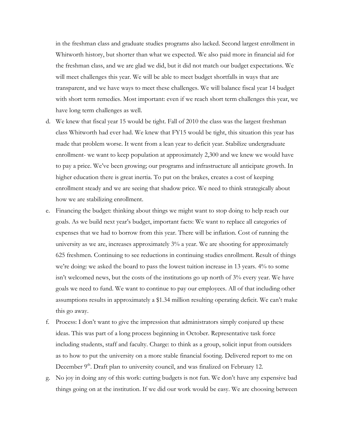in the freshman class and graduate studies programs also lacked. Second largest enrollment in Whitworth history, but shorter than what we expected. We also paid more in financial aid for the freshman class, and we are glad we did, but it did not match our budget expectations. We will meet challenges this year. We will be able to meet budget shortfalls in ways that are transparent, and we have ways to meet these challenges. We will balance fiscal year 14 budget with short term remedies. Most important: even if we reach short term challenges this year, we have long term challenges as well.

- d. We knew that fiscal year 15 would be tight. Fall of 2010 the class was the largest freshman class Whitworth had ever had. We knew that FY15 would be tight, this situation this year has made that problem worse. It went from a lean year to deficit year. Stabilize undergraduate enrollment- we want to keep population at approximately 2,300 and we knew we would have to pay a price. We've been growing; our programs and infrastructure all anticipate growth. In higher education there is great inertia. To put on the brakes, creates a cost of keeping enrollment steady and we are seeing that shadow price. We need to think strategically about how we are stabilizing enrollment.
- e. Financing the budget: thinking about things we might want to stop doing to help reach our goals. As we build next year's budget, important facts: We want to replace all categories of expenses that we had to borrow from this year. There will be inflation. Cost of running the university as we are, increases approximately 3% a year. We are shooting for approximately 625 freshmen. Continuing to see reductions in continuing studies enrollment. Result of things we're doing: we asked the board to pass the lowest tuition increase in 13 years. 4% to some isn't welcomed news, but the costs of the institutions go up north of 3% every year. We have goals we need to fund. We want to continue to pay our employees. All of that including other assumptions results in approximately a \$1.34 million resulting operating deficit. We can't make this go away.
- f. Process: I don't want to give the impression that administrators simply conjured up these ideas. This was part of a long process beginning in October. Representative task force including students, staff and faculty. Charge: to think as a group, solicit input from outsiders as to how to put the university on a more stable financial footing. Delivered report to me on December  $9<sup>th</sup>$ . Draft plan to university council, and was finalized on February 12.
- g. No joy in doing any of this work: cutting budgets is not fun. We don't have any expensive bad things going on at the institution. If we did our work would be easy. We are choosing between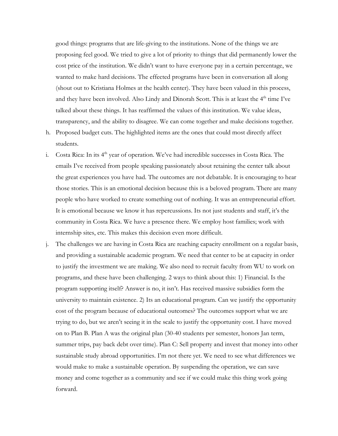good things: programs that are life-giving to the institutions. None of the things we are proposing feel good. We tried to give a lot of priority to things that did permanently lower the cost price of the institution. We didn't want to have everyone pay in a certain percentage, we wanted to make hard decisions. The effected programs have been in conversation all along (shout out to Kristiana Holmes at the health center). They have been valued in this process, and they have been involved. Also Lindy and Dinorah Scott. This is at least the  $4<sup>th</sup>$  time I've talked about these things. It has reaffirmed the values of this institution. We value ideas, transparency, and the ability to disagree. We can come together and make decisions together.

- h. Proposed budget cuts. The highlighted items are the ones that could most directly affect students.
- i. Costa Rica: In its 4<sup>th</sup> year of operation. We've had incredible successes in Costa Rica. The emails I've received from people speaking passionately about retaining the center talk about the great experiences you have had. The outcomes are not debatable. It is encouraging to hear those stories. This is an emotional decision because this is a beloved program. There are many people who have worked to create something out of nothing. It was an entrepreneurial effort. It is emotional because we know it has repercussions. Its not just students and staff, it's the community in Costa Rica. We have a presence there. We employ host families; work with internship sites, etc. This makes this decision even more difficult.
- j. The challenges we are having in Costa Rica are reaching capacity enrollment on a regular basis, and providing a sustainable academic program. We need that center to be at capacity in order to justify the investment we are making. We also need to recruit faculty from WU to work on programs, and these have been challenging. 2 ways to think about this: 1) Financial. Is the program supporting itself? Answer is no, it isn't. Has received massive subsidies form the university to maintain existence. 2) Its an educational program. Can we justify the opportunity cost of the program because of educational outcomes? The outcomes support what we are trying to do, but we aren't seeing it in the scale to justify the opportunity cost. I have moved on to Plan B. Plan A was the original plan (30-40 students per semester, honors Jan term, summer trips, pay back debt over time). Plan C: Sell property and invest that money into other sustainable study abroad opportunities. I'm not there yet. We need to see what differences we would make to make a sustainable operation. By suspending the operation, we can save money and come together as a community and see if we could make this thing work going forward.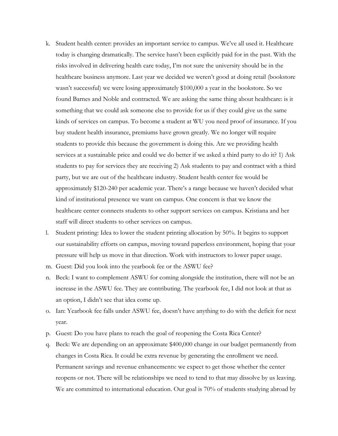- k. Student health center: provides an important service to campus. We've all used it. Healthcare today is changing dramatically. The service hasn't been explicitly paid for in the past. With the risks involved in delivering health care today, I'm not sure the university should be in the healthcare business anymore. Last year we decided we weren't good at doing retail (bookstore wasn't successful) we were losing approximately \$100,000 a year in the bookstore. So we found Barnes and Noble and contracted. We are asking the same thing about healthcare: is it something that we could ask someone else to provide for us if they could give us the same kinds of services on campus. To become a student at WU you need proof of insurance. If you buy student health insurance, premiums have grown greatly. We no longer will require students to provide this because the government is doing this. Are we providing health services at a sustainable price and could we do better if we asked a third party to do it? 1) Ask students to pay for services they are receiving 2) Ask students to pay and contract with a third party, but we are out of the healthcare industry. Student health center fee would be approximately \$120-240 per academic year. There's a range because we haven't decided what kind of institutional presence we want on campus. One concern is that we know the healthcare center connects students to other support services on campus. Kristiana and her staff will direct students to other services on campus.
- l. Student printing: Idea to lower the student printing allocation by 50%. It begins to support our sustainability efforts on campus, moving toward paperless environment, hoping that your pressure will help us move in that direction. Work with instructors to lower paper usage.
- m. Guest: Did you look into the yearbook fee or the ASWU fee?
- n. Beck: I want to complement ASWU for coming alongside the institution, there will not be an increase in the ASWU fee. They are contributing. The yearbook fee, I did not look at that as an option, I didn't see that idea come up.
- o. Ian: Yearbook fee falls under ASWU fee, doesn't have anything to do with the deficit for next year.
- p. Guest: Do you have plans to reach the goal of reopening the Costa Rica Center?
- q. Beck: We are depending on an approximate \$400,000 change in our budget permanently from changes in Costa Rica. It could be extra revenue by generating the enrollment we need. Permanent savings and revenue enhancements: we expect to get those whether the center reopens or not. There will be relationships we need to tend to that may dissolve by us leaving. We are committed to international education. Our goal is 70% of students studying abroad by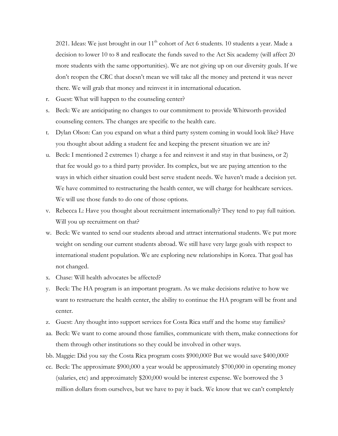2021. Ideas: We just brought in our  $11<sup>th</sup>$  cohort of Act 6 students. 10 students a year. Made a decision to lower 10 to 8 and reallocate the funds saved to the Act Six academy (will affect 20 more students with the same opportunities). We are not giving up on our diversity goals. If we don't reopen the CRC that doesn't mean we will take all the money and pretend it was never there. We will grab that money and reinvest it in international education.

- r. Guest: What will happen to the counseling center?
- s. Beck: We are anticipating no changes to our commitment to provide Whitworth-provided counseling centers. The changes are specific to the health care.
- t. Dylan Olson: Can you expand on what a third party system coming in would look like? Have you thought about adding a student fee and keeping the present situation we are in?
- u. Beck: I mentioned 2 extremes 1) charge a fee and reinvest it and stay in that business, or 2) that fee would go to a third party provider. Its complex, but we are paying attention to the ways in which either situation could best serve student needs. We haven't made a decision yet. We have committed to restructuring the health center, we will charge for healthcare services. We will use those funds to do one of those options.
- v. Rebecca L: Have you thought about recruitment internationally? They tend to pay full tuition. Will you up recruitment on that?
- w. Beck: We wanted to send our students abroad and attract international students. We put more weight on sending our current students abroad. We still have very large goals with respect to international student population. We are exploring new relationships in Korea. That goal has not changed.
- x. Chase: Will health advocates be affected?
- y. Beck: The HA program is an important program. As we make decisions relative to how we want to restructure the health center, the ability to continue the HA program will be front and center.
- z. Guest: Any thought into support services for Costa Rica staff and the home stay families?
- aa. Beck: We want to come around those families, communicate with them, make connections for them through other institutions so they could be involved in other ways.
- bb. Maggie: Did you say the Costa Rica program costs \$900,000? But we would save \$400,000?
- cc. Beck: The approximate \$900,000 a year would be approximately \$700,000 in operating money (salaries, etc) and approximately \$200,000 would be interest expense. We borrowed the 3 million dollars from ourselves, but we have to pay it back. We know that we can't completely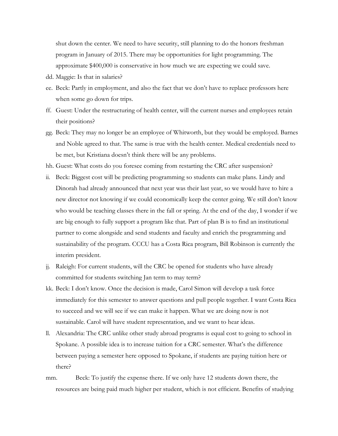shut down the center. We need to have security, still planning to do the honors freshman program in January of 2015. There may be opportunities for light programming. The approximate \$400,000 is conservative in how much we are expecting we could save.

- dd. Maggie: Is that in salaries?
- ee. Beck: Partly in employment, and also the fact that we don't have to replace professors here when some go down for trips.
- ff. Guest: Under the restructuring of health center, will the current nurses and employees retain their positions?
- gg. Beck: They may no longer be an employee of Whitworth, but they would be employed. Barnes and Noble agreed to that. The same is true with the health center. Medical credentials need to be met, but Kristiana doesn't think there will be any problems.
- hh. Guest: What costs do you foresee coming from restarting the CRC after suspension?
- ii. Beck: Biggest cost will be predicting programming so students can make plans. Lindy and Dinorah had already announced that next year was their last year, so we would have to hire a new director not knowing if we could economically keep the center going. We still don't know who would be teaching classes there in the fall or spring. At the end of the day, I wonder if we are big enough to fully support a program like that. Part of plan B is to find an institutional partner to come alongside and send students and faculty and enrich the programming and sustainability of the program. CCCU has a Costa Rica program, Bill Robinson is currently the interim president.
- jj. Raleigh: For current students, will the CRC be opened for students who have already committed for students switching Jan term to may term?
- kk. Beck: I don't know. Once the decision is made, Carol Simon will develop a task force immediately for this semester to answer questions and pull people together. I want Costa Rica to succeed and we will see if we can make it happen. What we are doing now is not sustainable. Carol will have student representation, and we want to hear ideas.
- ll. Alexandria: The CRC unlike other study abroad programs is equal cost to going to school in Spokane. A possible idea is to increase tuition for a CRC semester. What's the difference between paying a semester here opposed to Spokane, if students are paying tuition here or there?
- mm. Beck: To justify the expense there. If we only have 12 students down there, the resources are being paid much higher per student, which is not efficient. Benefits of studying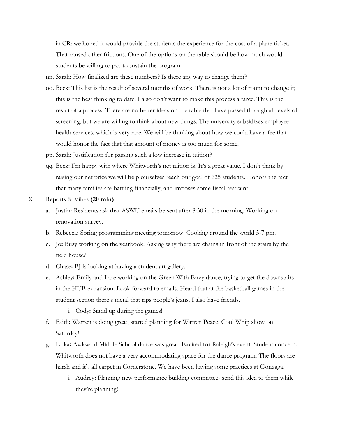in CR: we hoped it would provide the students the experience for the cost of a plane ticket. That caused other frictions. One of the options on the table should be how much would students be willing to pay to sustain the program.

- nn. Sarah: How finalized are these numbers? Is there any way to change them?
- oo. Beck: This list is the result of several months of work. There is not a lot of room to change it; this is the best thinking to date. I also don't want to make this process a farce. This is the result of a process. There are no better ideas on the table that have passed through all levels of screening, but we are willing to think about new things. The university subsidizes employee health services, which is very rare. We will be thinking about how we could have a fee that would honor the fact that that amount of money is too much for some.
- pp. Sarah: Justification for passing such a low increase in tuition?
- qq. Beck: I'm happy with where Whitworth's net tuition is. It's a great value. I don't think by raising our net price we will help ourselves reach our goal of 625 students. Honors the fact that many families are battling financially, and imposes some fiscal restraint.
- IX. Reports & Vibes **(20 min)**
	- a. Justin**:** Residents ask that ASWU emails be sent after 8:30 in the morning. Working on renovation survey.
	- b. Rebecca**:** Spring programming meeting tomorrow. Cooking around the world 5-7 pm.
	- c. Jo**:** Busy working on the yearbook. Asking why there are chains in front of the stairs by the field house?
	- d. Chase**:** BJ is looking at having a student art gallery.
	- e. Ashley**:** Emily and I are working on the Green With Envy dance, trying to get the downstairs in the HUB expansion. Look forward to emails. Heard that at the basketball games in the student section there's metal that rips people's jeans. I also have friends.
		- i. Cody**:** Stand up during the games!
	- f. Faith**:** Warren is doing great, started planning for Warren Peace. Cool Whip show on Saturday!
	- g. Erika**:** Awkward Middle School dance was great! Excited for Raleigh's event. Student concern: Whitworth does not have a very accommodating space for the dance program. The floors are harsh and it's all carpet in Cornerstone. We have been having some practices at Gonzaga.
		- i. Audrey**:** Planning new performance building committee- send this idea to them while they're planning!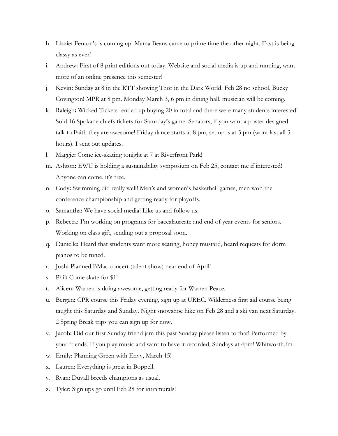- h. Lizzie**:** Fenton's is coming up. Mama Beans came to prime time the other night. East is being classy as ever!
- i. Andrew**:** First of 8 print editions out today. Website and social media is up and running, want more of an online presence this semester!
- j. Kevin**:** Sunday at 8 in the RTT showing Thor in the Dark World. Feb 28 no school, Bucky Covington! MPR at 8 pm. Monday March 3, 6 pm in dining hall, musician will be coming.
- k. Raleigh**:** Wicked Tickets- ended up buying 20 in total and there were many students interested! Sold 16 Spokane chiefs tickets for Saturday's game. Senators, if you want a poster designed talk to Faith they are awesome! Friday dance starts at 8 pm, set up is at 5 pm (wont last all 3 hours). I sent out updates.
- l. Maggie**:** Come ice-skating tonight at 7 at Riverfront Park!
- m. Ashton**:** EWU is holding a sustainability symposium on Feb 25, contact me if interested! Anyone can come, it's free.
- n. Cody**:** Swimming did really well! Men's and women's basketball games, men won the conference championship and getting ready for playoffs.
- o. Samantha**:** We have social media! Like us and follow us.
- p. Rebecca**:** I'm working on programs for baccalaureate and end of year events for seniors. Working on class gift, sending out a proposal soon.
- q. Danielle**:** Heard that students want more seating, honey mustard, heard requests for dorm pianos to be tuned.
- r. Josh**:** Planned BMac concert (talent show) near end of April!
- s. Phil**:** Come skate for \$1!
- t. Alicen**:** Warren is doing awesome, getting ready for Warren Peace.
- u. Bergen**:** CPR course this Friday evening, sign up at UREC. Wilderness first aid course being taught this Saturday and Sunday. Night snowshoe hike on Feb 28 and a ski van next Saturday. 2 Spring Break trips you can sign up for now.
- v. Jacob**:** Did our first Sunday friend jam this past Sunday please listen to that! Performed by your friends. If you play music and want to have it recorded, Sundays at 4pm! Whitworth.fm
- w. Emily: Planning Green with Envy, March 15!
- x. Lauren: Everything is great in Boppell.
- y. Ryan: Duvall breeds champions as usual.
- z. Tyler: Sign ups go until Feb 28 for intramurals!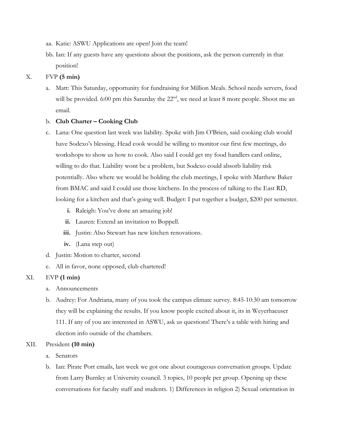- aa. Katie: ASWU Applications are open! Join the team!
- bb. Ian: If any guests have any questions about the positions, ask the person currently in that position!

### X. FVP **(5 min)**

a. Matt: This Saturday, opportunity for fundraising for Million Meals. School needs servers, food will be provided. 6:00 pm this Saturday the  $22<sup>nd</sup>$ , we need at least 8 more people. Shoot me an email.

## b. **Club Charter – Cooking Club**

- c. Lana: One question last week was liability. Spoke with Jim O'Brien, said cooking club would have Sodexo's blessing. Head cook would be willing to monitor our first few meetings, do workshops to show us how to cook. Also said I could get my food handlers card online, willing to do that. Liability wont be a problem, but Sodexo could absorb liability risk potentially. Also where we would be holding the club meetings, I spoke with Matthew Baker from BMAC and said I could use those kitchens. In the process of talking to the East RD, looking for a kitchen and that's going well. Budget: I put together a budget, \$200 per semester.
	- **i.** Raleigh: You've done an amazing job!
	- **ii.** Lauren: Extend an invitation to Boppell.
	- **iii.** Justin: Also Stewart has new kitchen renovations.
	- **iv.** (Lana step out)
- d. Justin: Motion to charter, second
- e. All in favor, none opposed, club chartered!

# XI. EVP **(1 min)**

- a. Announcements
- b. Audrey: For Andriana, many of you took the campus climate survey. 8:45-10:30 am tomorrow they will be explaining the results. If you know people excited about it, its in Weyerhaeuser 111. If any of you are interested in ASWU, ask us questions! There's a table with hiring and election info outside of the chambers.

### XII. President **(10 min)**

- a. Senators
- b. Ian: Pirate Port emails, last week we got one about courageous conversation groups. Update from Larry Burnley at University council. 3 topics, 10 people per group. Opening up these conversations for faculty staff and students. 1) Differences in religion 2) Sexual orientation in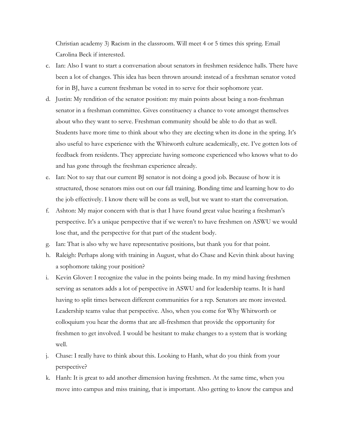Christian academy 3) Racism in the classroom. Will meet 4 or 5 times this spring. Email Carolina Beck if interested.

- c. Ian: Also I want to start a conversation about senators in freshmen residence halls. There have been a lot of changes. This idea has been thrown around: instead of a freshman senator voted for in BJ, have a current freshman be voted in to serve for their sophomore year.
- d. Justin: My rendition of the senator position: my main points about being a non-freshman senator in a freshman committee. Gives constituency a chance to vote amongst themselves about who they want to serve. Freshman community should be able to do that as well. Students have more time to think about who they are electing when its done in the spring. It's also useful to have experience with the Whitworth culture academically, etc. I've gotten lots of feedback from residents. They appreciate having someone experienced who knows what to do and has gone through the freshman experience already.
- e. Ian: Not to say that our current BJ senator is not doing a good job. Because of how it is structured, those senators miss out on our fall training. Bonding time and learning how to do the job effectively. I know there will be cons as well, but we want to start the conversation.
- f. Ashton: My major concern with that is that I have found great value hearing a freshman's perspective. It's a unique perspective that if we weren't to have freshmen on ASWU we would lose that, and the perspective for that part of the student body.
- g. Ian: That is also why we have representative positions, but thank you for that point.
- h. Raleigh: Perhaps along with training in August, what do Chase and Kevin think about having a sophomore taking your position?
- i. Kevin Glover: I recognize the value in the points being made. In my mind having freshmen serving as senators adds a lot of perspective in ASWU and for leadership teams. It is hard having to split times between different communities for a rep. Senators are more invested. Leadership teams value that perspective. Also, when you come for Why Whitworth or colloquium you hear the dorms that are all-freshmen that provide the opportunity for freshmen to get involved. I would be hesitant to make changes to a system that is working well.
- j. Chase: I really have to think about this. Looking to Hanh, what do you think from your perspective?
- k. Hanh: It is great to add another dimension having freshmen. At the same time, when you move into campus and miss training, that is important. Also getting to know the campus and